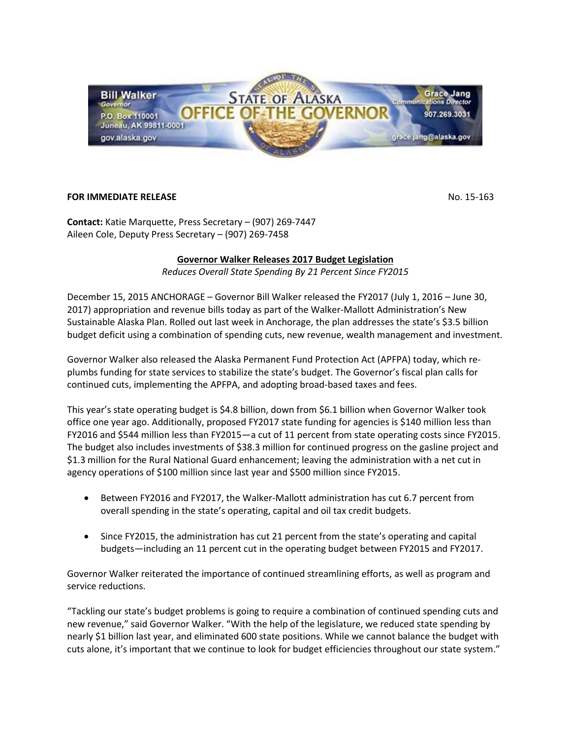

## **FOR IMMEDIATE RELEASE** NO. 15-163

**Contact:** Katie Marquette, Press Secretary – (907) 269-7447 Aileen Cole, Deputy Press Secretary – (907) 269-7458

## **Governor Walker Releases 2017 Budget Legislation**

*Reduces Overall State Spending By 21 Percent Since FY2015*

December 15, 2015 ANCHORAGE – Governor Bill Walker released the FY2017 (July 1, 2016 – June 30, 2017) appropriation and revenue bills today as part of the Walker-Mallott Administration's New Sustainable Alaska Plan. Rolled out last week in Anchorage, the plan addresses the state's \$3.5 billion budget deficit using a combination of spending cuts, new revenue, wealth management and investment.

Governor Walker also released the Alaska Permanent Fund Protection Act (APFPA) today, which replumbs funding for state services to stabilize the state's budget. The Governor's fiscal plan calls for continued cuts, implementing the APFPA, and adopting broad-based taxes and fees.

This year's state operating budget is \$4.8 billion, down from \$6.1 billion when Governor Walker took office one year ago. Additionally, proposed FY2017 state funding for agencies is \$140 million less than FY2016 and \$544 million less than FY2015—a cut of 11 percent from state operating costs since FY2015. The budget also includes investments of \$38.3 million for continued progress on the gasline project and \$1.3 million for the Rural National Guard enhancement; leaving the administration with a net cut in agency operations of \$100 million since last year and \$500 million since FY2015.

- Between FY2016 and FY2017, the Walker-Mallott administration has cut 6.7 percent from overall spending in the state's operating, capital and oil tax credit budgets.
- Since FY2015, the administration has cut 21 percent from the state's operating and capital budgets—including an 11 percent cut in the operating budget between FY2015 and FY2017.

Governor Walker reiterated the importance of continued streamlining efforts, as well as program and service reductions.

"Tackling our state's budget problems is going to require a combination of continued spending cuts and new revenue," said Governor Walker. "With the help of the legislature, we reduced state spending by nearly \$1 billion last year, and eliminated 600 state positions. While we cannot balance the budget with cuts alone, it's important that we continue to look for budget efficiencies throughout our state system."